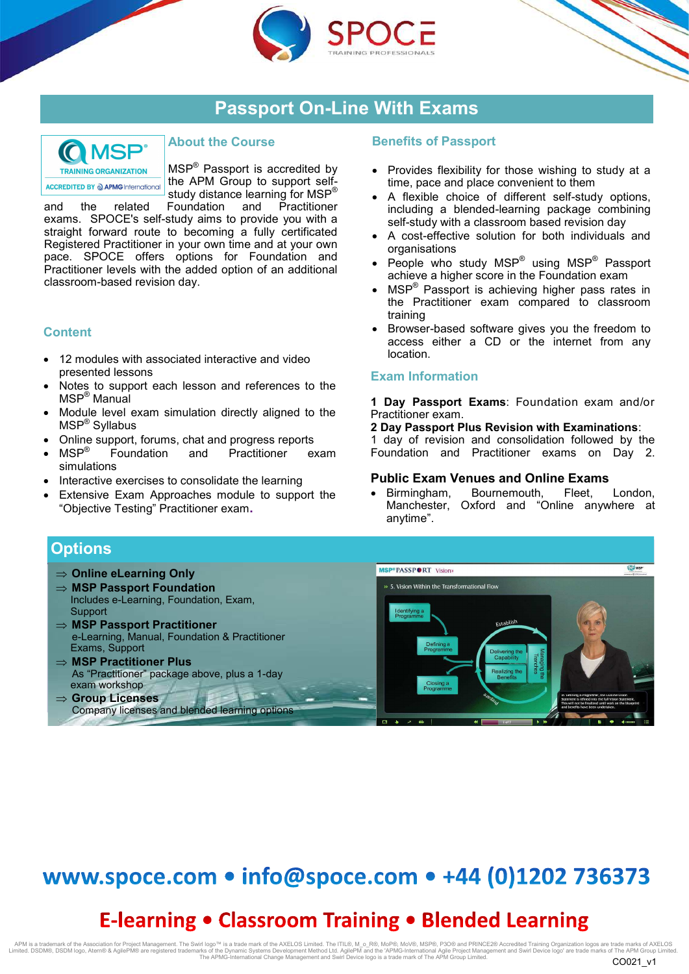





## **About the Course**

MSP<sup>®</sup> Passport is accredited by the APM Group to support selfstudy distance learning for MSP®

and the related Foundation and Practitioner exams. SPOCE's self-study aims to provide you with a straight forward route to becoming a fully certificated Registered Practitioner in your own time and at your own pace. SPOCE offers options for Foundation and Practitioner levels with the added option of an additional classroom-based revision day.

## **Content**

- 12 modules with associated interactive and video presented lessons
- Notes to support each lesson and references to the MSP® Manual
- Module level exam simulation directly aligned to the MSP® Syllabus
- Online support, forums, chat and progress reports
- MSP® Foundation and Practitioner exam simulations
- Interactive exercises to consolidate the learning
- Extensive Exam Approaches module to support the "Objective Testing" Practitioner exam**.**

### **Benefits of Passport**

- Provides flexibility for those wishing to study at a time, pace and place convenient to them
- A flexible choice of different self-study options, including a blended-learning package combining self-study with a classroom based revision day
- A cost-effective solution for both individuals and organisations
- People who study MSP<sup>®</sup> using MSP<sup>®</sup> Passport achieve a higher score in the Foundation exam
- MSP<sup>®</sup> Passport is achieving higher pass rates in the Practitioner exam compared to classroom training
- Browser-based software gives you the freedom to access either a CD or the internet from any location.

#### **Exam Information**

**1 Day Passport Exams**: Foundation exam and/or Practitioner exam.

**2 Day Passport Plus Revision with Examinations**:

1 day of revision and consolidation followed by the Foundation and Practitioner exams on Day 2.

#### **Public Exam Venues and Online Exams**

 Birmingham, Bournemouth, Fleet, London, Manchester, Oxford and "Online anywhere at anytime".



# www.spoce.com • info@spoce.com • +44 (0)1202 736373

# **E-learning • Classroom Training • Blended Learning**

APM is a trademark of the Association for Project Management. The Swirl logo™ is a trade mark of the AXELOS Limited. The ITL®, M\_o\_R®, MoP®, MoV®, MSP®, P3O® and PRINCE2® Accredited Training Organization logos are trade m